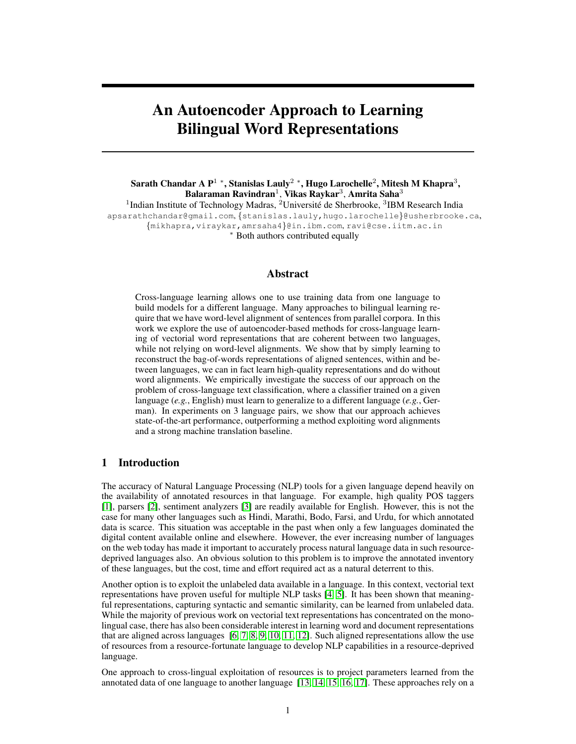# An Autoencoder Approach to Learning Bilingual Word Representations

Sarath Chandar A P $^1$  \*, Stanislas Lauly $^2$  \*, Hugo Larochelle $^2$ , Mitesh M Khapra $^3,$ Balaraman Ravindran $^1$ , Vikas Raykar $^3$ , Amrita Saha $^3$ <sup>1</sup>Indian Institute of Technology Madras, <sup>2</sup>Université de Sherbrooke, <sup>3</sup>IBM Research India apsarathchandar@gmail.com, {stanislas.lauly,hugo.larochelle}@usherbrooke.ca, {mikhapra,viraykar,amrsaha4}@in.ibm.com, ravi@cse.iitm.ac.in <sup>∗</sup> Both authors contributed equally

## Abstract

Cross-language learning allows one to use training data from one language to build models for a different language. Many approaches to bilingual learning require that we have word-level alignment of sentences from parallel corpora. In this work we explore the use of autoencoder-based methods for cross-language learning of vectorial word representations that are coherent between two languages, while not relying on word-level alignments. We show that by simply learning to reconstruct the bag-of-words representations of aligned sentences, within and between languages, we can in fact learn high-quality representations and do without word alignments. We empirically investigate the success of our approach on the problem of cross-language text classification, where a classifier trained on a given language (*e.g.*, English) must learn to generalize to a different language (*e.g.*, German). In experiments on 3 language pairs, we show that our approach achieves state-of-the-art performance, outperforming a method exploiting word alignments and a strong machine translation baseline.

## 1 Introduction

The accuracy of Natural Language Processing (NLP) tools for a given language depend heavily on the availability of annotated resources in that language. For example, high quality POS taggers [1], parsers [2], sentiment analyzers [3] are readily available for English. However, this is not the case for many other languages such as Hindi, Marathi, Bodo, Farsi, and Urdu, for which annotated data is scarce. This situation was acceptable in the past when only a few languages dominated the digital content available online and elsewhere. However, the ever increasing number of languages on the web today has made it important to accurately process natural language data in such resourcedeprived languages also. An obvious solution to this problem is to improve the annotated inventory of these languages, but the cost, time and effort required act as a natural deterrent to this.

Another option is to exploit the unlabeled data available in a language. In this context, vectorial text representations have proven useful for multiple NLP tasks [4, 5]. It has been shown that meaningful representations, capturing syntactic and semantic similarity, can be learned from unlabeled data. While the majority of previous work on vectorial text representations has concentrated on the monolingual case, there has also been considerable interest in learning word and document representations that are aligned across languages [6, 7, 8, 9, 10, 11, 12]. Such aligned representations allow the use of resources from a resource-fortunate language to develop NLP capabilities in a resource-deprived language.

One approach to cross-lingual exploitation of resources is to project parameters learned from the annotated data of one language to another language [13, 14, 15, 16, 17]. These approaches rely on a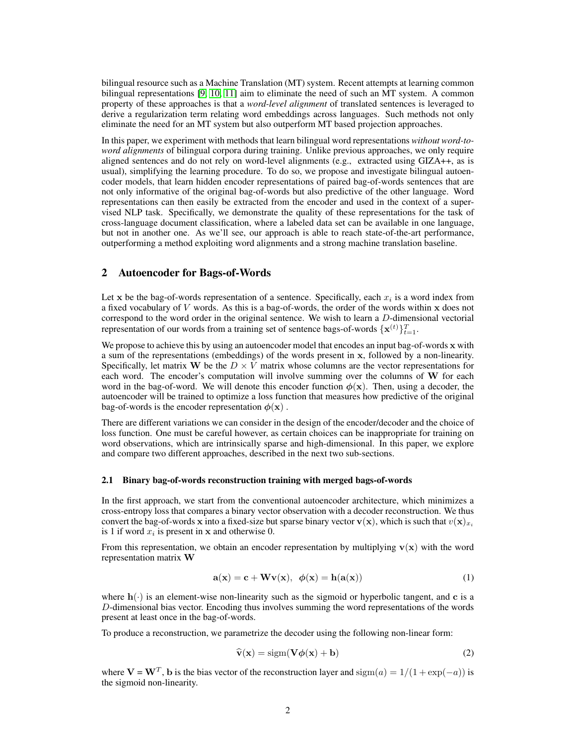bilingual resource such as a Machine Translation (MT) system. Recent attempts at learning common bilingual representations [9, 10, 11] aim to eliminate the need of such an MT system. A common property of these approaches is that a *word-level alignment* of translated sentences is leveraged to derive a regularization term relating word embeddings across languages. Such methods not only eliminate the need for an MT system but also outperform MT based projection approaches.

In this paper, we experiment with methods that learn bilingual word representations *without word-toword alignments* of bilingual corpora during training. Unlike previous approaches, we only require aligned sentences and do not rely on word-level alignments (e.g., extracted using GIZA++, as is usual), simplifying the learning procedure. To do so, we propose and investigate bilingual autoencoder models, that learn hidden encoder representations of paired bag-of-words sentences that are not only informative of the original bag-of-words but also predictive of the other language. Word representations can then easily be extracted from the encoder and used in the context of a supervised NLP task. Specifically, we demonstrate the quality of these representations for the task of cross-language document classification, where a labeled data set can be available in one language, but not in another one. As we'll see, our approach is able to reach state-of-the-art performance, outperforming a method exploiting word alignments and a strong machine translation baseline.

## 2 Autoencoder for Bags-of-Words

Let x be the bag-of-words representation of a sentence. Specifically, each  $x_i$  is a word index from a fixed vocabulary of  $V$  words. As this is a bag-of-words, the order of the words within  $x$  does not correspond to the word order in the original sentence. We wish to learn a  $D$ -dimensional vectorial representation of our words from a training set of sentence bags-of-words  $\{x^{(t)}\}_{t=1}^{T}$ .

We propose to achieve this by using an autoencoder model that encodes an input bag-of-words x with a sum of the representations (embeddings) of the words present in x, followed by a non-linearity. Specifically, let matrix W be the  $D \times V$  matrix whose columns are the vector representations for each word. The encoder's computation will involve summing over the columns of W for each word in the bag-of-word. We will denote this encoder function  $\phi(\mathbf{x})$ . Then, using a decoder, the autoencoder will be trained to optimize a loss function that measures how predictive of the original bag-of-words is the encoder representation  $\phi(\mathbf{x})$ .

There are different variations we can consider in the design of the encoder/decoder and the choice of loss function. One must be careful however, as certain choices can be inappropriate for training on word observations, which are intrinsically sparse and high-dimensional. In this paper, we explore and compare two different approaches, described in the next two sub-sections.

#### 2.1 Binary bag-of-words reconstruction training with merged bags-of-words

In the first approach, we start from the conventional autoencoder architecture, which minimizes a cross-entropy loss that compares a binary vector observation with a decoder reconstruction. We thus convert the bag-of-words x into a fixed-size but sparse binary vector  $\mathbf{v}(\mathbf{x})$ , which is such that  $v(\mathbf{x})_{x_i}$ is 1 if word  $x_i$  is present in  $x$  and otherwise 0.

From this representation, we obtain an encoder representation by multiplying  $\mathbf{v}(\mathbf{x})$  with the word representation matrix W

$$
\mathbf{a}(\mathbf{x}) = \mathbf{c} + \mathbf{W}\mathbf{v}(\mathbf{x}), \ \phi(\mathbf{x}) = \mathbf{h}(\mathbf{a}(\mathbf{x})) \tag{1}
$$

where  $h(\cdot)$  is an element-wise non-linearity such as the sigmoid or hyperbolic tangent, and c is a D-dimensional bias vector. Encoding thus involves summing the word representations of the words present at least once in the bag-of-words.

To produce a reconstruction, we parametrize the decoder using the following non-linear form:

$$
\widehat{\mathbf{v}}(\mathbf{x}) = \text{sigm}(\mathbf{V}\boldsymbol{\phi}(\mathbf{x}) + \mathbf{b})\tag{2}
$$

where  $V = W^T$ , b is the bias vector of the reconstruction layer and  $sign(a) = 1/(1 + exp(-a))$  is the sigmoid non-linearity.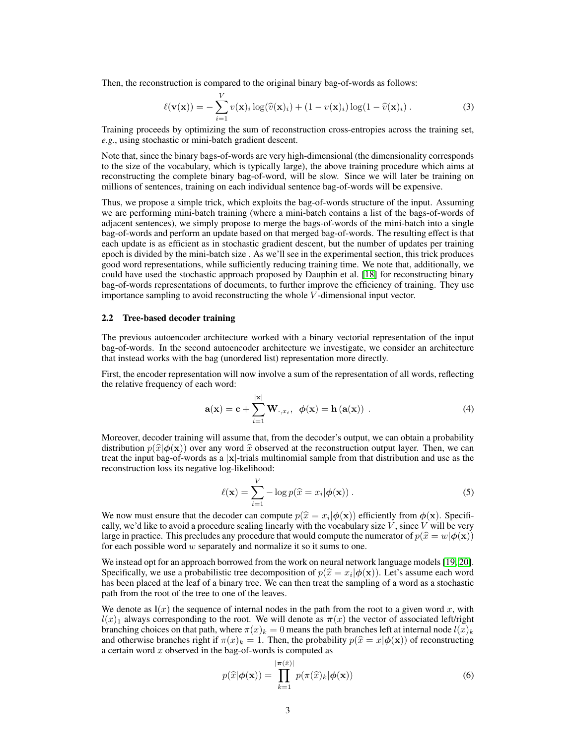Then, the reconstruction is compared to the original binary bag-of-words as follows:

$$
\ell(\mathbf{v}(\mathbf{x})) = -\sum_{i=1}^{V} v(\mathbf{x})_i \log(\widehat{v}(\mathbf{x})_i) + (1 - v(\mathbf{x})_i) \log(1 - \widehat{v}(\mathbf{x})_i).
$$
 (3)

Training proceeds by optimizing the sum of reconstruction cross-entropies across the training set, *e.g.*, using stochastic or mini-batch gradient descent.

Note that, since the binary bags-of-words are very high-dimensional (the dimensionality corresponds to the size of the vocabulary, which is typically large), the above training procedure which aims at reconstructing the complete binary bag-of-word, will be slow. Since we will later be training on millions of sentences, training on each individual sentence bag-of-words will be expensive.

Thus, we propose a simple trick, which exploits the bag-of-words structure of the input. Assuming we are performing mini-batch training (where a mini-batch contains a list of the bags-of-words of adjacent sentences), we simply propose to merge the bags-of-words of the mini-batch into a single bag-of-words and perform an update based on that merged bag-of-words. The resulting effect is that each update is as efficient as in stochastic gradient descent, but the number of updates per training epoch is divided by the mini-batch size . As we'll see in the experimental section, this trick produces good word representations, while sufficiently reducing training time. We note that, additionally, we could have used the stochastic approach proposed by Dauphin et al. [18] for reconstructing binary bag-of-words representations of documents, to further improve the efficiency of training. They use importance sampling to avoid reconstructing the whole V -dimensional input vector.

#### 2.2 Tree-based decoder training

The previous autoencoder architecture worked with a binary vectorial representation of the input bag-of-words. In the second autoencoder architecture we investigate, we consider an architecture that instead works with the bag (unordered list) representation more directly.

First, the encoder representation will now involve a sum of the representation of all words, reflecting the relative frequency of each word:

$$
\mathbf{a}(\mathbf{x}) = \mathbf{c} + \sum_{i=1}^{|\mathbf{x}|} \mathbf{W}_{\cdot,x_i}, \ \ \phi(\mathbf{x}) = \mathbf{h}(\mathbf{a}(\mathbf{x})) \ . \tag{4}
$$

Moreover, decoder training will assume that, from the decoder's output, we can obtain a probability distribution  $p(\hat{x}|\phi(x))$  over any word  $\hat{x}$  observed at the reconstruction output layer. Then, we can treat the input bag-of-words as a  $|x|$ -trials multinomial sample from that distribution and use as the reconstruction loss its negative log-likelihood:

$$
\ell(\mathbf{x}) = \sum_{i=1}^{V} -\log p(\widehat{x} = x_i | \boldsymbol{\phi}(\mathbf{x})).
$$
\n(5)

We now must ensure that the decoder can compute  $p(\hat{x} = x_i | \phi(\mathbf{x}))$  efficiently from  $\phi(\mathbf{x})$ . Specifi-<br>cally we'd like to avoid a procedure scaling linearly with the vocabulary size V since V will be very cally, we'd like to avoid a procedure scaling linearly with the vocabulary size  $V$ , since  $V$  will be very large in practice. This precludes any procedure that would compute the numerator of  $p(\hat{x} = w | \phi(\mathbf{x}))$ for each possible word  $w$  separately and normalize it so it sums to one.

We instead opt for an approach borrowed from the work on neural network language models [19, 20]. Specifically, we use a probabilistic tree decomposition of  $p(\hat{x} = x_i | \phi(\mathbf{x}))$ . Let's assume each word<br>has been placed at the leaf of a binary tree. We can then treat the sampling of a word as a stochastic has been placed at the leaf of a binary tree. We can then treat the sampling of a word as a stochastic path from the root of the tree to one of the leaves.

We denote as  $\mathbf{l}(x)$  the sequence of internal nodes in the path from the root to a given word x, with  $l(x)$ <sub>1</sub> always corresponding to the root. We will denote as  $\pi(x)$  the vector of associated left/right branching choices on that path, where  $\pi(x)_k = 0$  means the path branches left at internal node  $l(x)_k$ and otherwise branches right if  $\pi(x)_k = 1$ . Then, the probability  $p(\hat{x} = x|\phi(\mathbf{x}))$  of reconstructing a certain word  $x$  observed in the bag-of-words is computed as

$$
p(\widehat{x}|\boldsymbol{\phi}(\mathbf{x})) = \prod_{k=1}^{|\boldsymbol{\pi}(\widehat{x})|} p(\boldsymbol{\pi}(\widehat{x})_k|\boldsymbol{\phi}(\mathbf{x}))
$$
\n(6)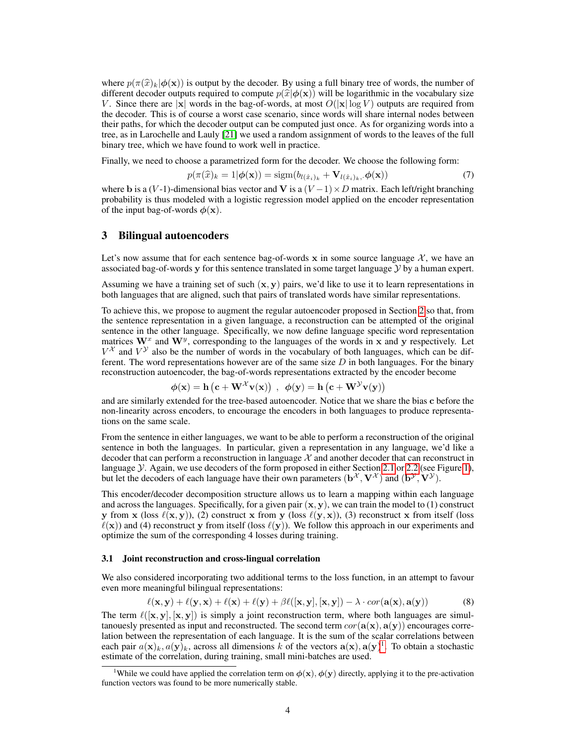where  $p(\pi(\hat{x})_k|\phi(\mathbf{x}))$  is output by the decoder. By using a full binary tree of words, the number of different decoder outputs required to compute  $p(\hat{x}|\phi(x))$  will be logarithmic in the vocabulary size V. Since there are |x| words in the bag-of-words, at most  $O(|x| \log V)$  outputs are required from the decoder. This is of course a worst case scenario, since words will share internal nodes between their paths, for which the decoder output can be computed just once. As for organizing words into a tree, as in Larochelle and Lauly [21] we used a random assignment of words to the leaves of the full binary tree, which we have found to work well in practice.

Finally, we need to choose a parametrized form for the decoder. We choose the following form:

$$
p(\pi(\widehat{x})_k = 1 | \boldsymbol{\phi}(\mathbf{x})) = \text{sign}(b_{l(\widehat{x}_i)_k} + \mathbf{V}_{l(\widehat{x}_i)_k}, \boldsymbol{\phi}(\mathbf{x}))
$$
(7)

where b is a (V-1)-dimensional bias vector and V is a (V – 1) × D matrix. Each left/right branching probability is thus modeled with a logistic regression model applied on the encoder representation of the input bag-of-words  $\phi(\mathbf{x})$ .

## 3 Bilingual autoencoders

Let's now assume that for each sentence bag-of-words x in some source language  $X$ , we have an associated bag-of-words y for this sentence translated in some target language Y by a human expert.

Assuming we have a training set of such  $(x, y)$  pairs, we'd like to use it to learn representations in both languages that are aligned, such that pairs of translated words have similar representations.

To achieve this, we propose to augment the regular autoencoder proposed in Section 2 so that, from the sentence representation in a given language, a reconstruction can be attempted of the original sentence in the other language. Specifically, we now define language specific word representation matrices  $W^x$  and  $W^y$ , corresponding to the languages of the words in x and y respectively. Let  $V^{\mathcal{X}}$  and  $V^{\mathcal{Y}}$  also be the number of words in the vocabulary of both languages, which can be different. The word representations however are of the same size  $D$  in both languages. For the binary reconstruction autoencoder, the bag-of-words representations extracted by the encoder become

$$
\phi(\mathbf{x}) = \mathbf{h} (\mathbf{c} + \mathbf{W}^{\mathcal{X}} \mathbf{v}(\mathbf{x})) \ , \ \phi(\mathbf{y}) = \mathbf{h} (\mathbf{c} + \mathbf{W}^{\mathcal{Y}} \mathbf{v}(\mathbf{y}))
$$

and are similarly extended for the tree-based autoencoder. Notice that we share the bias c before the non-linearity across encoders, to encourage the encoders in both languages to produce representations on the same scale.

From the sentence in either languages, we want to be able to perform a reconstruction of the original sentence in both the languages. In particular, given a representation in any language, we'd like a decoder that can perform a reconstruction in language  $X$  and another decoder that can reconstruct in language *Y*. Again, we use decoders of the form proposed in either Section 2.1 or 2.2 (see Figure 1), but let the decoders of each language have their own parameters  $(\mathbf{b}^{\mathcal{X}}, \mathbf{V}^{\mathcal{X}})$  and  $(\mathbf{b}^{\mathcal{Y}}, \mathbf{V}^{\mathcal{Y}})$ .

This encoder/decoder decomposition structure allows us to learn a mapping within each language and across the languages. Specifically, for a given pair  $(x, y)$ , we can train the model to (1) construct y from x (loss  $\ell(x, y)$ ), (2) construct x from y (loss  $\ell(y, x)$ ), (3) reconstruct x from itself (loss  $\ell(x)$ ) and (4) reconstruct y from itself (loss  $\ell(y)$ ). We follow this approach in our experiments and optimize the sum of the corresponding 4 losses during training.

#### 3.1 Joint reconstruction and cross-lingual correlation

We also considered incorporating two additional terms to the loss function, in an attempt to favour even more meaningful bilingual representations:

$$
\ell(\mathbf{x}, \mathbf{y}) + \ell(\mathbf{y}, \mathbf{x}) + \ell(\mathbf{x}) + \ell(\mathbf{y}) + \beta \ell([\mathbf{x}, \mathbf{y}], [\mathbf{x}, \mathbf{y}]) - \lambda \cdot cor(\mathbf{a}(\mathbf{x}), \mathbf{a}(\mathbf{y}))
$$
(8)

The term  $\ell([x, y], [x, y])$  is simply a joint reconstruction term, where both languages are simultanouesly presented as input and reconstructed. The second term  $cor(\mathbf{a}(\mathbf{x}), \mathbf{a}(\mathbf{y}))$  encourages correlation between the representation of each language. It is the sum of the scalar correlations between each pair  $a(\mathbf{x})_k, a(\mathbf{y})_k$ , across all dimensions k of the vectors  $\mathbf{a}(\mathbf{x}), \mathbf{a}(\mathbf{y})^1$ . To obtain a stochastic estimate of the correlation, during training, small mini-batches are used.

<sup>&</sup>lt;sup>1</sup>While we could have applied the correlation term on  $\phi(\mathbf{x}), \phi(\mathbf{y})$  directly, applying it to the pre-activation function vectors was found to be more numerically stable.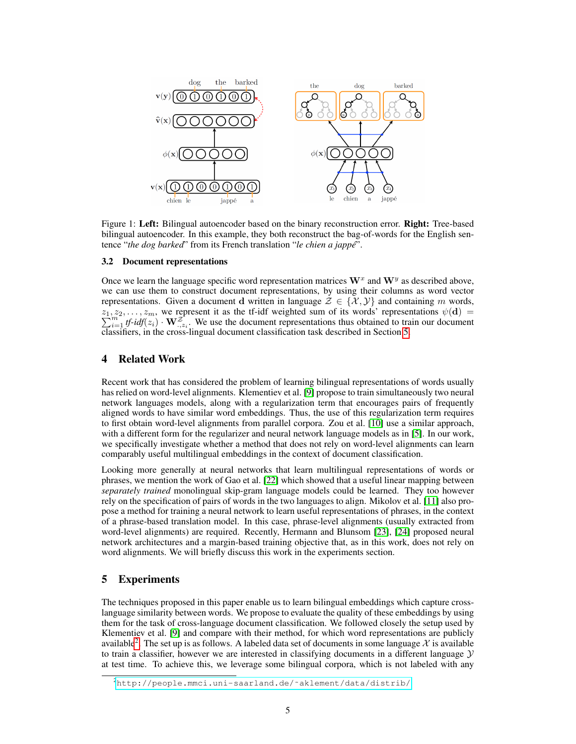

Figure 1: Left: Bilingual autoencoder based on the binary reconstruction error. Right: Tree-based bilingual autoencoder. In this example, they both reconstruct the bag-of-words for the English sentence "*the dog barked*" from its French translation "*le chien a jappe´*".

#### 3.2 Document representations

Once we learn the language specific word representation matrices  $W^x$  and  $W^y$  as described above, we can use them to construct document representations, by using their columns as word vector representations. Given a document d written in language  $\mathcal{Z} \in \{X, Y\}$  and containing m words,  $z_1, z_2, \ldots, z_m$ , we represent it as the tf-idf weighted sum of its words' representations  $\psi(\mathbf{d}) =$  $\sum_{i=1}^{m}$  *tf-idf*( $z_i$ )  $\cdot$  **W** $\frac{z^2}{z^2}$ . We use the document representations thus obtained to train our document classifiers, in the cross-lingual document classification task described in Section 5.

## 4 Related Work

Recent work that has considered the problem of learning bilingual representations of words usually has relied on word-level alignments. Klementiev et al. [9] propose to train simultaneously two neural network languages models, along with a regularization term that encourages pairs of frequently aligned words to have similar word embeddings. Thus, the use of this regularization term requires to first obtain word-level alignments from parallel corpora. Zou et al. [10] use a similar approach, with a different form for the regularizer and neural network language models as in [5]. In our work, we specifically investigate whether a method that does not rely on word-level alignments can learn comparably useful multilingual embeddings in the context of document classification.

Looking more generally at neural networks that learn multilingual representations of words or phrases, we mention the work of Gao et al. [22] which showed that a useful linear mapping between *separately trained* monolingual skip-gram language models could be learned. They too however rely on the specification of pairs of words in the two languages to align. Mikolov et al. [11] also propose a method for training a neural network to learn useful representations of phrases, in the context of a phrase-based translation model. In this case, phrase-level alignments (usually extracted from word-level alignments) are required. Recently, Hermann and Blunsom [23], [24] proposed neural network architectures and a margin-based training objective that, as in this work, does not rely on word alignments. We will briefly discuss this work in the experiments section.

## 5 Experiments

The techniques proposed in this paper enable us to learn bilingual embeddings which capture crosslanguage similarity between words. We propose to evaluate the quality of these embeddings by using them for the task of cross-language document classification. We followed closely the setup used by Klementiev et al. [9] and compare with their method, for which word representations are publicly available<sup>2</sup>. The set up is as follows. A labeled data set of documents in some language  $\mathcal X$  is available to train a classifier, however we are interested in classifying documents in a different language  $\mathcal Y$ at test time. To achieve this, we leverage some bilingual corpora, which is not labeled with any

<sup>2</sup>[http://people.mmci.uni-saarland.de/˜aklement/data/distrib/](http://people.mmci.uni-saarland.de/~aklement/data/distrib/)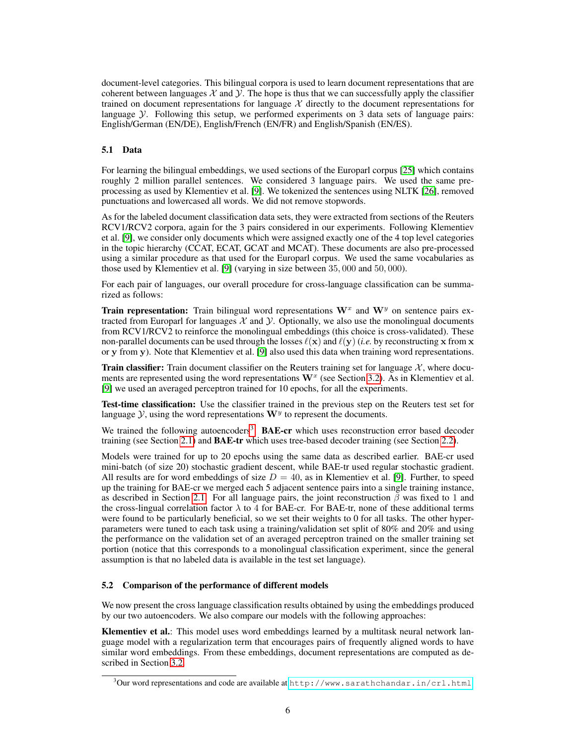document-level categories. This bilingual corpora is used to learn document representations that are coherent between languages  $X$  and  $Y$ . The hope is thus that we can successfully apply the classifier trained on document representations for language  $X$  directly to the document representations for language  $\mathcal Y$ . Following this setup, we performed experiments on 3 data sets of language pairs: English/German (EN/DE), English/French (EN/FR) and English/Spanish (EN/ES).

## 5.1 Data

For learning the bilingual embeddings, we used sections of the Europarl corpus [25] which contains roughly 2 million parallel sentences. We considered 3 language pairs. We used the same preprocessing as used by Klementiev et al. [9]. We tokenized the sentences using NLTK [26], removed punctuations and lowercased all words. We did not remove stopwords.

As for the labeled document classification data sets, they were extracted from sections of the Reuters RCV1/RCV2 corpora, again for the 3 pairs considered in our experiments. Following Klementiev et al. [9], we consider only documents which were assigned exactly one of the 4 top level categories in the topic hierarchy (CCAT, ECAT, GCAT and MCAT). These documents are also pre-processed using a similar procedure as that used for the Europarl corpus. We used the same vocabularies as those used by Klementiev et al. [9] (varying in size between 35, 000 and 50, 000).

For each pair of languages, our overall procedure for cross-language classification can be summarized as follows:

**Train representation:** Train bilingual word representations  $W^x$  and  $W^y$  on sentence pairs extracted from Europarl for languages  $\mathcal X$  and  $\mathcal Y$ . Optionally, we also use the monolingual documents from RCV1/RCV2 to reinforce the monolingual embeddings (this choice is cross-validated). These non-parallel documents can be used through the losses  $\ell(x)$  and  $\ell(y)$  (*i.e.* by reconstructing x from x or y from y). Note that Klementiev et al. [9] also used this data when training word representations.

**Train classifier:** Train document classifier on the Reuters training set for language  $X$ , where documents are represented using the word representations  $W^x$  (see Section 3.2). As in Klementiev et al. [9] we used an averaged perceptron trained for 10 epochs, for all the experiments.

Test-time classification: Use the classifier trained in the previous step on the Reuters test set for language  $Y$ , using the word representations  $W<sup>y</sup>$  to represent the documents.

We trained the following autoencoders<sup>3</sup>: BAE-cr which uses reconstruction error based decoder training (see Section 2.1) and **BAE-tr** which uses tree-based decoder training (see Section 2.2).

Models were trained for up to 20 epochs using the same data as described earlier. BAE-cr used mini-batch (of size 20) stochastic gradient descent, while BAE-tr used regular stochastic gradient. All results are for word embeddings of size  $D = 40$ , as in Klementiev et al. [9]. Further, to speed up the training for BAE-cr we merged each 5 adjacent sentence pairs into a single training instance, as described in Section 2.1. For all language pairs, the joint reconstruction  $\beta$  was fixed to 1 and the cross-lingual correlation factor  $\lambda$  to 4 for BAE-cr. For BAE-tr, none of these additional terms were found to be particularly beneficial, so we set their weights to 0 for all tasks. The other hyperparameters were tuned to each task using a training/validation set split of 80% and 20% and using the performance on the validation set of an averaged perceptron trained on the smaller training set portion (notice that this corresponds to a monolingual classification experiment, since the general assumption is that no labeled data is available in the test set language).

## 5.2 Comparison of the performance of different models

We now present the cross language classification results obtained by using the embeddings produced by our two autoencoders. We also compare our models with the following approaches:

Klementiev et al.: This model uses word embeddings learned by a multitask neural network language model with a regularization term that encourages pairs of frequently aligned words to have similar word embeddings. From these embeddings, document representations are computed as described in Section 3.2.

 $3$ Our word representations and code are available at <http://www.sarathchandar.in/crl.html>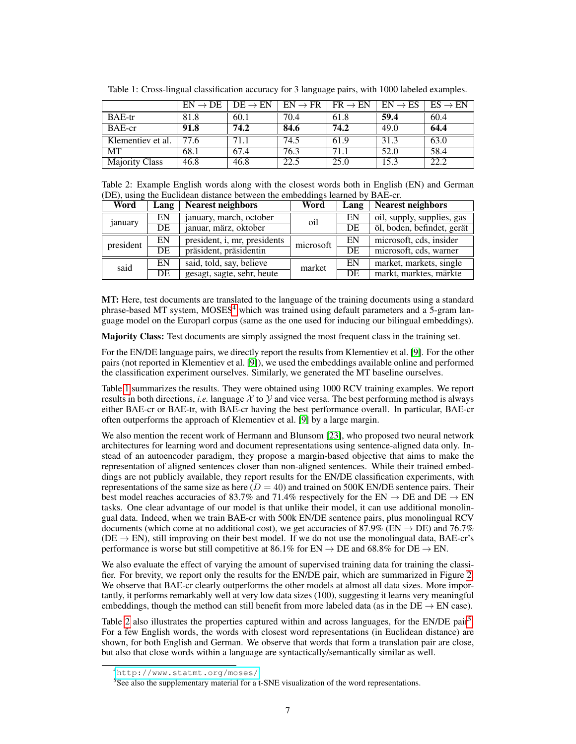|                       | $EN \rightarrow DE$ | $DE \rightarrow EN$ | $EN \rightarrow FR$ | $FR \rightarrow EN$ | $EN \rightarrow ES$ | $ES \rightarrow EN$ |
|-----------------------|---------------------|---------------------|---------------------|---------------------|---------------------|---------------------|
| <b>BAE-tr</b>         | 81.8                | 60.1                | 70.4                | 61.8                | 59.4                | 60.4                |
| BAE-cr                | 91.8                | 74.2                | 84.6                | 74.2                | 49.0                | 64.4                |
| Klementiev et al.     | 77.6                | 71.1                | 74.5                | 61.9                | 31.3                | 63.0                |
| <b>MT</b>             | 68.1                | 67.4                | 76.3                | 71.1                | 52.0                | 58.4                |
| <b>Majority Class</b> | 46.8                | 46.8                | 22.5                | 25.0                | 15.3                | 22.2                |

Table 1: Cross-lingual classification accuracy for 3 language pairs, with 1000 labeled examples.

Table 2: Example English words along with the closest words both in English (EN) and German (DE), using the Euclidean distance between the embeddings learned by BAE-cr.

| Word          | Lang | <b>Nearest neighbors</b>     | Word      | Lang            | <b>Nearest neighbors</b>   |  |
|---------------|------|------------------------------|-----------|-----------------|----------------------------|--|
| <i>anuary</i> | EN   | january, march, october      | oil       | EN              | oil, supply, supplies, gas |  |
|               | DE   | januar, märz, oktober        |           | $\overline{DE}$ | öl, boden, befindet, gerät |  |
| president     | EN   | president, i, mr, presidents | microsoft | EN              | microsoft, cds, insider    |  |
|               | DE   | präsident, präsidentin       |           | $\overline{DE}$ | microsoft, cds, warner     |  |
| said          | EN   | said, told, say, believe     | market    | EN              | market, markets, single    |  |
|               | DE   | gesagt, sagte, sehr, heute   |           | DE              | markt, marktes, märkte     |  |

MT: Here, test documents are translated to the language of the training documents using a standard phrase-based MT system, MOSES<sup>4</sup> which was trained using default parameters and a 5-gram language model on the Europarl corpus (same as the one used for inducing our bilingual embeddings).

Majority Class: Test documents are simply assigned the most frequent class in the training set.

For the EN/DE language pairs, we directly report the results from Klementiev et al. [9]. For the other pairs (not reported in Klementiev et al. [9]), we used the embeddings available online and performed the classification experiment ourselves. Similarly, we generated the MT baseline ourselves.

Table 1 summarizes the results. They were obtained using 1000 RCV training examples. We report results in both directions, *i.e.* language  $X$  to  $Y$  and vice versa. The best performing method is always either BAE-cr or BAE-tr, with BAE-cr having the best performance overall. In particular, BAE-cr often outperforms the approach of Klementiev et al. [9] by a large margin.

We also mention the recent work of Hermann and Blunsom [23], who proposed two neural network architectures for learning word and document representations using sentence-aligned data only. Instead of an autoencoder paradigm, they propose a margin-based objective that aims to make the representation of aligned sentences closer than non-aligned sentences. While their trained embeddings are not publicly available, they report results for the EN/DE classification experiments, with representations of the same size as here  $(D = 40)$  and trained on 500K EN/DE sentence pairs. Their best model reaches accuracies of 83.7% and 71.4% respectively for the EN  $\rightarrow$  DE and DE  $\rightarrow$  EN tasks. One clear advantage of our model is that unlike their model, it can use additional monolingual data. Indeed, when we train BAE-cr with 500k EN/DE sentence pairs, plus monolingual RCV documents (which come at no additional cost), we get accuracies of 87.9% ( $EN \rightarrow DE$ ) and 76.7%  $(DE \rightarrow EN)$ , still improving on their best model. If we do not use the monolingual data, BAE-cr's performance is worse but still competitive at 86.1% for  $EN \rightarrow DE$  and 68.8% for  $DE \rightarrow EN$ .

We also evaluate the effect of varying the amount of supervised training data for training the classifier. For brevity, we report only the results for the EN/DE pair, which are summarized in Figure 2. We observe that BAE-cr clearly outperforms the other models at almost all data sizes. More importantly, it performs remarkably well at very low data sizes (100), suggesting it learns very meaningful embeddings, though the method can still benefit from more labeled data (as in the  $DE \rightarrow EN$  case).

Table 2 also illustrates the properties captured within and across languages, for the EN/DE pair<sup>5</sup>. For a few English words, the words with closest word representations (in Euclidean distance) are shown, for both English and German. We observe that words that form a translation pair are close, but also that close words within a language are syntactically/semantically similar as well.

<sup>4</sup><http://www.statmt.org/moses/>

<sup>&</sup>lt;sup>5</sup>See also the supplementary material for a t-SNE visualization of the word representations.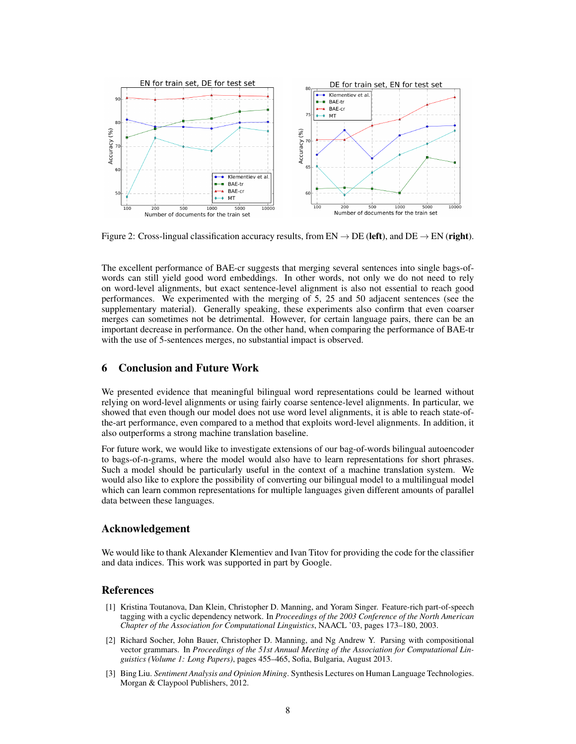

Figure 2: Cross-lingual classification accuracy results, from  $EN \to DE$  (left), and  $DE \to EN$  (right).

The excellent performance of BAE-cr suggests that merging several sentences into single bags-ofwords can still yield good word embeddings. In other words, not only we do not need to rely on word-level alignments, but exact sentence-level alignment is also not essential to reach good performances. We experimented with the merging of 5, 25 and 50 adjacent sentences (see the supplementary material). Generally speaking, these experiments also confirm that even coarser merges can sometimes not be detrimental. However, for certain language pairs, there can be an important decrease in performance. On the other hand, when comparing the performance of BAE-tr with the use of 5-sentences merges, no substantial impact is observed.

# 6 Conclusion and Future Work

We presented evidence that meaningful bilingual word representations could be learned without relying on word-level alignments or using fairly coarse sentence-level alignments. In particular, we showed that even though our model does not use word level alignments, it is able to reach state-ofthe-art performance, even compared to a method that exploits word-level alignments. In addition, it also outperforms a strong machine translation baseline.

For future work, we would like to investigate extensions of our bag-of-words bilingual autoencoder to bags-of-n-grams, where the model would also have to learn representations for short phrases. Such a model should be particularly useful in the context of a machine translation system. We would also like to explore the possibility of converting our bilingual model to a multilingual model which can learn common representations for multiple languages given different amounts of parallel data between these languages.

## Acknowledgement

We would like to thank Alexander Klementiev and Ivan Titov for providing the code for the classifier and data indices. This work was supported in part by Google.

## References

- [1] Kristina Toutanova, Dan Klein, Christopher D. Manning, and Yoram Singer. Feature-rich part-of-speech tagging with a cyclic dependency network. In *Proceedings of the 2003 Conference of the North American Chapter of the Association for Computational Linguistics*, NAACL '03, pages 173–180, 2003.
- [2] Richard Socher, John Bauer, Christopher D. Manning, and Ng Andrew Y. Parsing with compositional vector grammars. In *Proceedings of the 51st Annual Meeting of the Association for Computational Linguistics (Volume 1: Long Papers)*, pages 455–465, Sofia, Bulgaria, August 2013.
- [3] Bing Liu. *Sentiment Analysis and Opinion Mining*. Synthesis Lectures on Human Language Technologies. Morgan & Claypool Publishers, 2012.